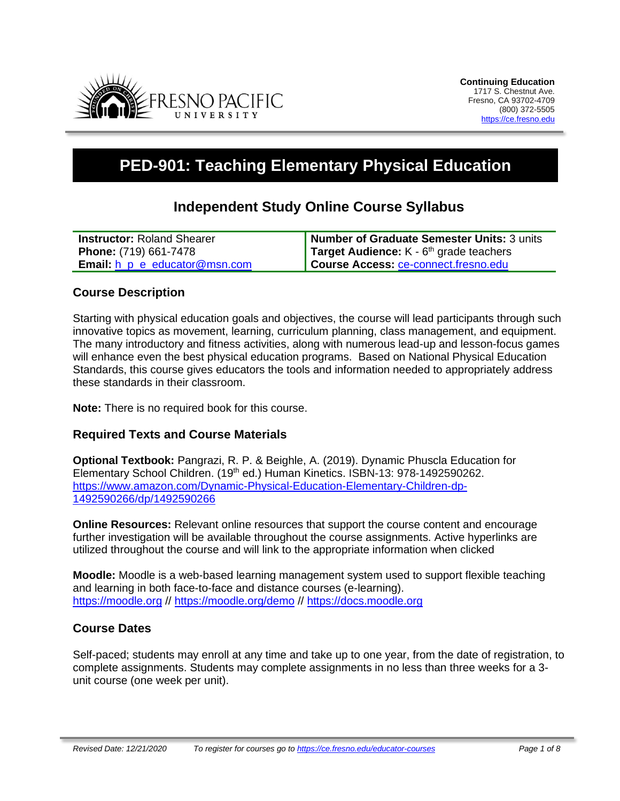

# **PED-901: Teaching Elementary Physical Education**

## **Independent Study Online Course Syllabus**

| <b>Instructor: Roland Shearer</b>          | Number of Graduate Semester Units: 3 units       |
|--------------------------------------------|--------------------------------------------------|
| <b>Phone:</b> (719) 661-7478               | <b>Target Audience:</b> $K - 6th$ grade teachers |
| <b>Email:</b> $h$ $p$ $e$ educator@msn.com | Course Access: ce-connect.fresno.edu             |

## **Course Description**

Starting with physical education goals and objectives, the course will lead participants through such innovative topics as movement, learning, curriculum planning, class management, and equipment. The many introductory and fitness activities, along with numerous lead-up and lesson-focus games will enhance even the best physical education programs. Based on National Physical Education Standards, this course gives educators the tools and information needed to appropriately address these standards in their classroom.

**Note:** There is no required book for this course.

## **Required Texts and Course Materials**

**Optional Textbook:** Pangrazi, R. P. & Beighle, A. (2019). Dynamic Phuscla Education for Elementary School Children. (19th ed.) Human Kinetics. ISBN-13: 978-1492590262. https://www.amazon.com/Dynamic-Physical-Education-Elementary-Children-dp-1492590266/dp/1492590266

**Online Resources:** Relevant online resources that support the course content and encourage further investigation will be available throughout the course assignments. Active hyperlinks are utilized throughout the course and will link to the appropriate information when clicked

**Moodle:** Moodle is a web-based learning management system used to support flexible teaching and learning in both face-to-face and distance courses (e-learning). [https://moodle.org](https://moodle.org/) // <https://moodle.org/demo> // [https://docs.moodle.org](https://docs.moodle.org/)

## **Course Dates**

Self-paced; students may enroll at any time and take up to one year, from the date of registration, to complete assignments. Students may complete assignments in no less than three weeks for a 3 unit course (one week per unit).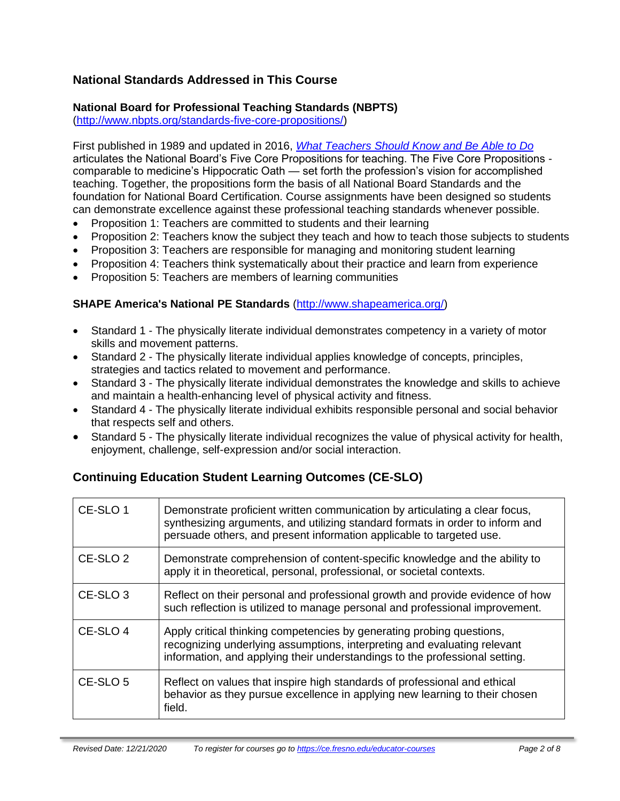## **National Standards Addressed in This Course**

## **National Board for Professional Teaching Standards (NBPTS)**

[\(http://www.nbpts.org/standards-five-core-propositions/\)](http://www.nbpts.org/standards-five-core-propositions/)

First published in 1989 and updated in 2016, *[What Teachers Should Know and Be Able to Do](http://www.accomplishedteacher.org/)* articulates the National Board's Five Core Propositions for teaching. The Five Core Propositions comparable to medicine's Hippocratic Oath — set forth the profession's vision for accomplished teaching. Together, the propositions form the basis of all National Board Standards and the foundation for National Board Certification. Course assignments have been designed so students can demonstrate excellence against these professional teaching standards whenever possible.

- Proposition 1: Teachers are committed to students and their learning
- Proposition 2: Teachers know the subject they teach and how to teach those subjects to students
- Proposition 3: Teachers are responsible for managing and monitoring student learning
- Proposition 4: Teachers think systematically about their practice and learn from experience
- Proposition 5: Teachers are members of learning communities

#### **SHAPE America's National PE Standards** [\(http://www.shapeamerica.org/\)](http://www.shapeamerica.org/)

- Standard 1 The physically literate individual demonstrates competency in a variety of motor skills and movement patterns.
- Standard 2 The physically literate individual applies knowledge of concepts, principles, strategies and tactics related to movement and performance.
- Standard 3 The physically literate individual demonstrates the knowledge and skills to achieve and maintain a health-enhancing level of physical activity and fitness.
- Standard 4 The physically literate individual exhibits responsible personal and social behavior that respects self and others.
- Standard 5 The physically literate individual recognizes the value of physical activity for health, enjoyment, challenge, self-expression and/or social interaction.

## **Continuing Education Student Learning Outcomes (CE-SLO)**

| CE-SLO 1            | Demonstrate proficient written communication by articulating a clear focus,<br>synthesizing arguments, and utilizing standard formats in order to inform and<br>persuade others, and present information applicable to targeted use. |  |
|---------------------|--------------------------------------------------------------------------------------------------------------------------------------------------------------------------------------------------------------------------------------|--|
| CE-SLO <sub>2</sub> | Demonstrate comprehension of content-specific knowledge and the ability to<br>apply it in theoretical, personal, professional, or societal contexts.                                                                                 |  |
| CE-SLO <sub>3</sub> | Reflect on their personal and professional growth and provide evidence of how<br>such reflection is utilized to manage personal and professional improvement.                                                                        |  |
| CE-SLO <sub>4</sub> | Apply critical thinking competencies by generating probing questions,<br>recognizing underlying assumptions, interpreting and evaluating relevant<br>information, and applying their understandings to the professional setting.     |  |
| CE-SLO 5            | Reflect on values that inspire high standards of professional and ethical<br>behavior as they pursue excellence in applying new learning to their chosen<br>field.                                                                   |  |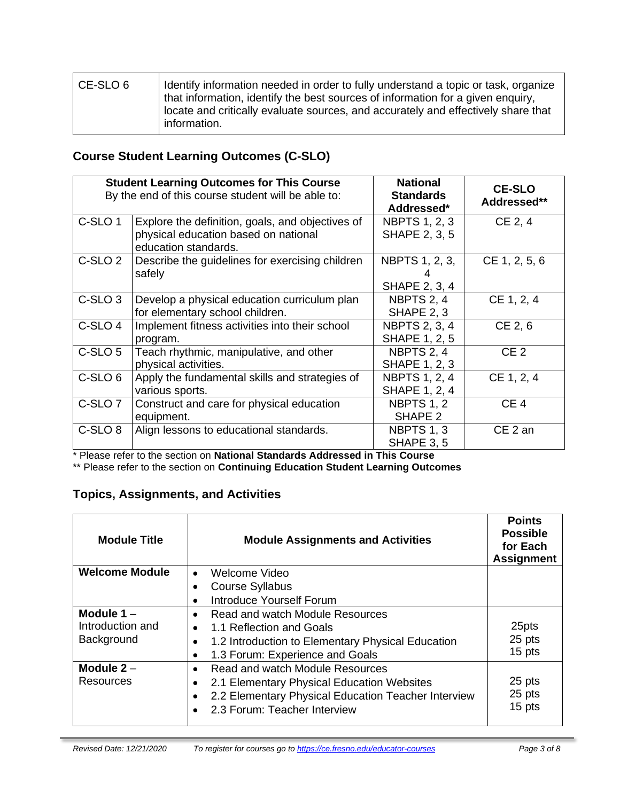| l CE-SLO 6 | I Identify information needed in order to fully understand a topic or task, organize<br>that information, identify the best sources of information for a given enquiry,<br>locate and critically evaluate sources, and accurately and effectively share that<br>information. |
|------------|------------------------------------------------------------------------------------------------------------------------------------------------------------------------------------------------------------------------------------------------------------------------------|
|            |                                                                                                                                                                                                                                                                              |

## **Course Student Learning Outcomes (C-SLO)**

|                    | <b>Student Learning Outcomes for This Course</b><br>By the end of this course student will be able to:           | <b>National</b><br><b>Standards</b><br>Addressed* | <b>CE-SLO</b><br>Addressed** |
|--------------------|------------------------------------------------------------------------------------------------------------------|---------------------------------------------------|------------------------------|
| C-SLO <sub>1</sub> | Explore the definition, goals, and objectives of<br>physical education based on national<br>education standards. | <b>NBPTS 1, 2, 3</b><br><b>SHAPE 2, 3, 5</b>      | CE 2, 4                      |
| C-SLO <sub>2</sub> | Describe the guidelines for exercising children<br>safely                                                        | NBPTS 1, 2, 3,<br>SHAPE 2, 3, 4                   | CE 1, 2, 5, 6                |
| C-SLO <sub>3</sub> | Develop a physical education curriculum plan<br>for elementary school children.                                  | NBPTS 2, 4<br>SHAPE 2, 3                          | CE 1, 2, 4                   |
| C-SLO <sub>4</sub> | Implement fitness activities into their school<br>program.                                                       | <b>NBPTS 2, 3, 4</b><br><b>SHAPE 1, 2, 5</b>      | CE 2, 6                      |
| C-SLO <sub>5</sub> | Teach rhythmic, manipulative, and other<br>physical activities.                                                  | NBPTS 2, 4<br><b>SHAPE 1, 2, 3</b>                | CE <sub>2</sub>              |
| C-SLO <sub>6</sub> | Apply the fundamental skills and strategies of<br>various sports.                                                | <b>NBPTS 1, 2, 4</b><br><b>SHAPE 1, 2, 4</b>      | CE 1, 2, 4                   |
| C-SLO <sub>7</sub> | Construct and care for physical education<br>equipment.                                                          | <b>NBPTS 1, 2</b><br>SHAPE 2                      | CE <sub>4</sub>              |
| C-SLO <sub>8</sub> | Align lessons to educational standards.                                                                          | NBPTS 1, 3<br>SHAPE 3, 5                          | CE <sub>2</sub> an           |

\* Please refer to the section on **National Standards Addressed in This Course**

\*\* Please refer to the section on **Continuing Education Student Learning Outcomes**

## **Topics, Assignments, and Activities**

| <b>Module Title</b>   | <b>Module Assignments and Activities</b>            | <b>Points</b><br><b>Possible</b><br>for Each<br><b>Assignment</b> |
|-----------------------|-----------------------------------------------------|-------------------------------------------------------------------|
| <b>Welcome Module</b> | Welcome Video                                       |                                                                   |
|                       | <b>Course Syllabus</b>                              |                                                                   |
|                       | Introduce Yourself Forum                            |                                                                   |
| Module $1 -$          | Read and watch Module Resources                     |                                                                   |
| Introduction and      | 1.1 Reflection and Goals                            | 25pts                                                             |
| Background            | 1.2 Introduction to Elementary Physical Education   | 25 pts                                                            |
|                       | 1.3 Forum: Experience and Goals                     | 15 pts                                                            |
| Module $2 -$          | Read and watch Module Resources                     |                                                                   |
| Resources             | 2.1 Elementary Physical Education Websites          | 25 pts                                                            |
|                       | 2.2 Elementary Physical Education Teacher Interview | 25 pts                                                            |
|                       | 2.3 Forum: Teacher Interview                        | 15 pts                                                            |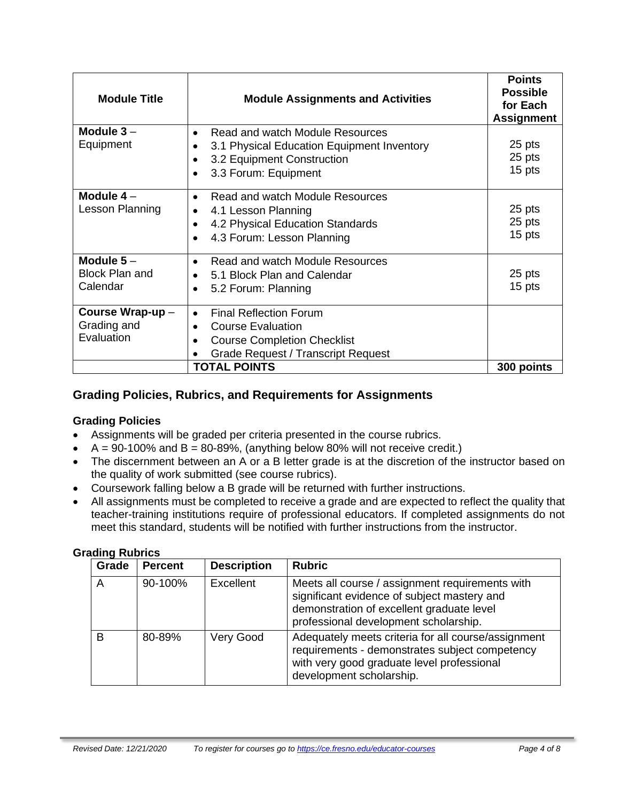| <b>Module Title</b>                              | <b>Module Assignments and Activities</b>                                                                                                                  | <b>Points</b><br><b>Possible</b><br>for Each<br><b>Assignment</b> |
|--------------------------------------------------|-----------------------------------------------------------------------------------------------------------------------------------------------------------|-------------------------------------------------------------------|
| Module $3-$<br>Equipment                         | Read and watch Module Resources<br>$\bullet$<br>3.1 Physical Education Equipment Inventory<br>3.2 Equipment Construction<br>3.3 Forum: Equipment          | 25 pts<br>25 pts<br>15 pts                                        |
| Module $4-$<br>Lesson Planning                   | Read and watch Module Resources<br>$\bullet$<br>4.1 Lesson Planning<br>4.2 Physical Education Standards<br>4.3 Forum: Lesson Planning                     | 25 pts<br>25 pts<br>15 pts                                        |
| Module $5-$<br><b>Block Plan and</b><br>Calendar | Read and watch Module Resources<br>$\bullet$<br>5.1 Block Plan and Calendar<br>5.2 Forum: Planning<br>$\bullet$                                           | 25 pts<br>15 pts                                                  |
| Course Wrap-up-<br>Grading and<br>Evaluation     | <b>Final Reflection Forum</b><br>$\bullet$<br><b>Course Evaluation</b><br><b>Course Completion Checklist</b><br><b>Grade Request / Transcript Request</b> |                                                                   |
|                                                  | <b>TOTAL POINTS</b>                                                                                                                                       | 300 points                                                        |

## **Grading Policies, Rubrics, and Requirements for Assignments**

#### **Grading Policies**

- Assignments will be graded per criteria presented in the course rubrics.
- $A = 90-100\%$  and  $B = 80-89\%$ , (anything below 80% will not receive credit.)
- The discernment between an A or a B letter grade is at the discretion of the instructor based on the quality of work submitted (see course rubrics).
- Coursework falling below a B grade will be returned with further instructions.
- All assignments must be completed to receive a grade and are expected to reflect the quality that teacher-training institutions require of professional educators. If completed assignments do not meet this standard, students will be notified with further instructions from the instructor.

| Grade | <b>Percent</b> | <b>Description</b> | <b>Rubric</b>                                                                                                                                                                        |
|-------|----------------|--------------------|--------------------------------------------------------------------------------------------------------------------------------------------------------------------------------------|
| A     | 90-100%        | Excellent          | Meets all course / assignment requirements with<br>significant evidence of subject mastery and<br>demonstration of excellent graduate level<br>professional development scholarship. |
| B     | 80-89%         | Very Good          | Adequately meets criteria for all course/assignment<br>requirements - demonstrates subject competency<br>with very good graduate level professional<br>development scholarship.      |

#### **Grading Rubrics**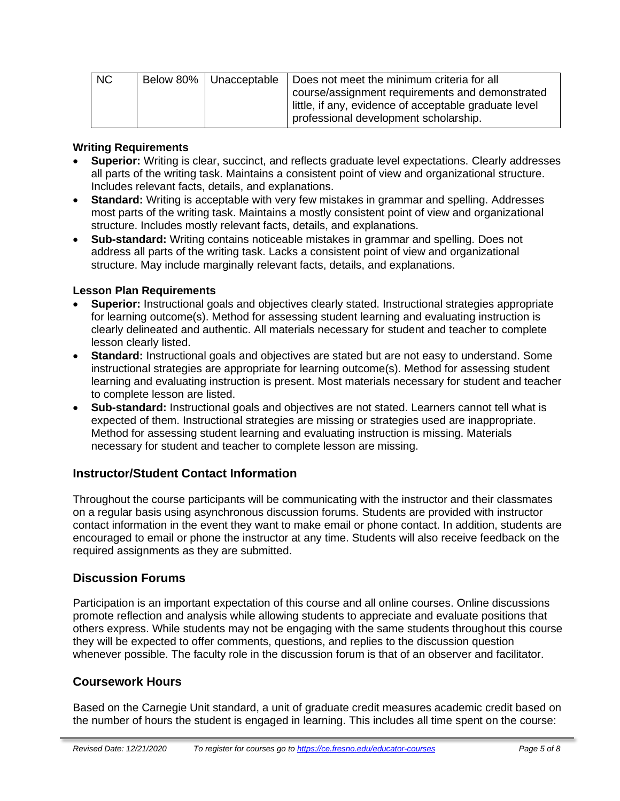| NC |  | Below 80%   Unacceptable   Does not meet the minimum criteria for all |
|----|--|-----------------------------------------------------------------------|
|    |  | course/assignment requirements and demonstrated                       |
|    |  | little, if any, evidence of acceptable graduate level                 |
|    |  | professional development scholarship.                                 |

#### **Writing Requirements**

- **Superior:** Writing is clear, succinct, and reflects graduate level expectations. Clearly addresses all parts of the writing task. Maintains a consistent point of view and organizational structure. Includes relevant facts, details, and explanations.
- **Standard:** Writing is acceptable with very few mistakes in grammar and spelling. Addresses most parts of the writing task. Maintains a mostly consistent point of view and organizational structure. Includes mostly relevant facts, details, and explanations.
- **Sub-standard:** Writing contains noticeable mistakes in grammar and spelling. Does not address all parts of the writing task. Lacks a consistent point of view and organizational structure. May include marginally relevant facts, details, and explanations.

#### **Lesson Plan Requirements**

- **Superior:** Instructional goals and objectives clearly stated. Instructional strategies appropriate for learning outcome(s). Method for assessing student learning and evaluating instruction is clearly delineated and authentic. All materials necessary for student and teacher to complete lesson clearly listed.
- **Standard:** Instructional goals and objectives are stated but are not easy to understand. Some instructional strategies are appropriate for learning outcome(s). Method for assessing student learning and evaluating instruction is present. Most materials necessary for student and teacher to complete lesson are listed.
- **Sub-standard:** Instructional goals and objectives are not stated. Learners cannot tell what is expected of them. Instructional strategies are missing or strategies used are inappropriate. Method for assessing student learning and evaluating instruction is missing. Materials necessary for student and teacher to complete lesson are missing.

#### **Instructor/Student Contact Information**

Throughout the course participants will be communicating with the instructor and their classmates on a regular basis using asynchronous discussion forums. Students are provided with instructor contact information in the event they want to make email or phone contact. In addition, students are encouraged to email or phone the instructor at any time. Students will also receive feedback on the required assignments as they are submitted.

#### **Discussion Forums**

Participation is an important expectation of this course and all online courses. Online discussions promote reflection and analysis while allowing students to appreciate and evaluate positions that others express. While students may not be engaging with the same students throughout this course they will be expected to offer comments, questions, and replies to the discussion question whenever possible. The faculty role in the discussion forum is that of an observer and facilitator.

#### **Coursework Hours**

Based on the Carnegie Unit standard, a unit of graduate credit measures academic credit based on the number of hours the student is engaged in learning. This includes all time spent on the course: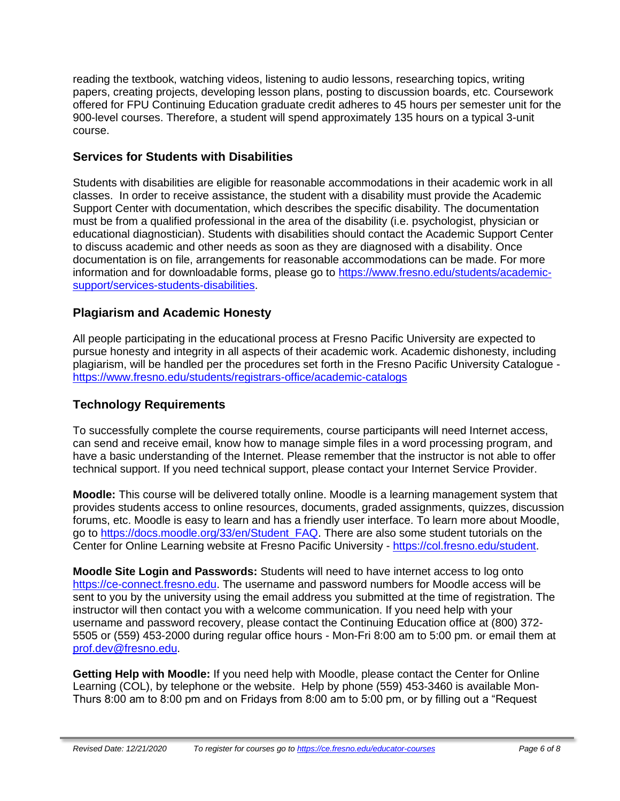reading the textbook, watching videos, listening to audio lessons, researching topics, writing papers, creating projects, developing lesson plans, posting to discussion boards, etc. Coursework offered for FPU Continuing Education graduate credit adheres to 45 hours per semester unit for the 900-level courses. Therefore, a student will spend approximately 135 hours on a typical 3-unit course.

## **Services for Students with Disabilities**

Students with disabilities are eligible for reasonable accommodations in their academic work in all classes. In order to receive assistance, the student with a disability must provide the Academic Support Center with documentation, which describes the specific disability. The documentation must be from a qualified professional in the area of the disability (i.e. psychologist, physician or educational diagnostician). Students with disabilities should contact the Academic Support Center to discuss academic and other needs as soon as they are diagnosed with a disability. Once documentation is on file, arrangements for reasonable accommodations can be made. For more information and for downloadable forms, please go to [https://www.fresno.edu/students/academic](https://www.fresno.edu/students/academic-support/services-students-disabilities)[support/services-students-disabilities.](https://www.fresno.edu/students/academic-support/services-students-disabilities)

## **Plagiarism and Academic Honesty**

All people participating in the educational process at Fresno Pacific University are expected to pursue honesty and integrity in all aspects of their academic work. Academic dishonesty, including plagiarism, will be handled per the procedures set forth in the Fresno Pacific University Catalogue <https://www.fresno.edu/students/registrars-office/academic-catalogs>

## **Technology Requirements**

To successfully complete the course requirements, course participants will need Internet access, can send and receive email, know how to manage simple files in a word processing program, and have a basic understanding of the Internet. Please remember that the instructor is not able to offer technical support. If you need technical support, please contact your Internet Service Provider.

**Moodle:** This course will be delivered totally online. Moodle is a learning management system that provides students access to online resources, documents, graded assignments, quizzes, discussion forums, etc. Moodle is easy to learn and has a friendly user interface. To learn more about Moodle, go to [https://docs.moodle.org/33/en/Student\\_FAQ.](https://docs.moodle.org/33/en/Student_FAQ) There are also some student tutorials on the Center for Online Learning website at Fresno Pacific University - [https://col.fresno.edu/student.](https://col.fresno.edu/student)

**Moodle Site Login and Passwords:** Students will need to have internet access to log onto [https://ce-connect.fresno.edu.](https://ce-connect.fresno.edu/) The username and password numbers for Moodle access will be sent to you by the university using the email address you submitted at the time of registration. The instructor will then contact you with a welcome communication. If you need help with your username and password recovery, please contact the Continuing Education office at (800) 372- 5505 or (559) 453-2000 during regular office hours - Mon-Fri 8:00 am to 5:00 pm. or email them at [prof.dev@fresno.edu.](mailto:prof.dev@fresno.edu)

**Getting Help with Moodle:** If you need help with Moodle, please contact the Center for Online Learning (COL), by telephone or the website. Help by phone (559) 453-3460 is available Mon-Thurs 8:00 am to 8:00 pm and on Fridays from 8:00 am to 5:00 pm, or by filling out a "Request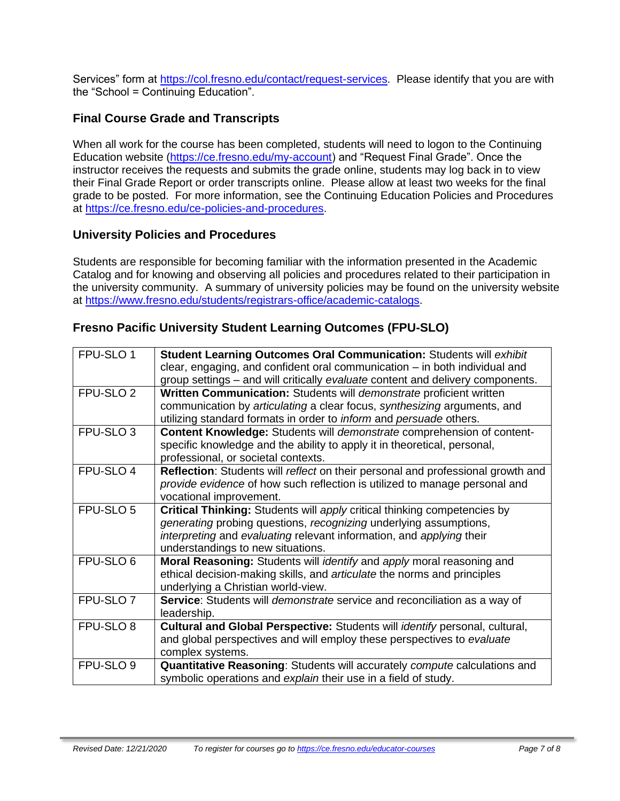Services" form at [https://col.fresno.edu/contact/request-services.](https://col.fresno.edu/contact/request-services) Please identify that you are with the "School = Continuing Education".

## **Final Course Grade and Transcripts**

When all work for the course has been completed, students will need to logon to the Continuing Education website [\(https://ce.fresno.edu/my-account\)](https://ce.fresno.edu/my-account) and "Request Final Grade". Once the instructor receives the requests and submits the grade online, students may log back in to view their Final Grade Report or order transcripts online. Please allow at least two weeks for the final grade to be posted. For more information, see the Continuing Education Policies and Procedures at [https://ce.fresno.edu/ce-policies-and-procedures.](https://ce.fresno.edu/ce-policies-and-procedures)

#### **University Policies and Procedures**

Students are responsible for becoming familiar with the information presented in the Academic Catalog and for knowing and observing all policies and procedures related to their participation in the university community. A summary of university policies may be found on the university website at [https://www.fresno.edu/students/registrars-office/academic-catalogs.](https://www.fresno.edu/students/registrars-office/academic-catalogs)

## **Fresno Pacific University Student Learning Outcomes (FPU-SLO)**

| FPU-SLO 1            | Student Learning Outcomes Oral Communication: Students will exhibit<br>clear, engaging, and confident oral communication – in both individual and |
|----------------------|---------------------------------------------------------------------------------------------------------------------------------------------------|
|                      | group settings – and will critically evaluate content and delivery components.                                                                    |
| FPU-SLO <sub>2</sub> | Written Communication: Students will demonstrate proficient written                                                                               |
|                      | communication by articulating a clear focus, synthesizing arguments, and                                                                          |
|                      | utilizing standard formats in order to <i>inform</i> and persuade others.                                                                         |
| FPU-SLO <sub>3</sub> | Content Knowledge: Students will demonstrate comprehension of content-                                                                            |
|                      | specific knowledge and the ability to apply it in theoretical, personal,                                                                          |
|                      | professional, or societal contexts.                                                                                                               |
| FPU-SLO 4            | Reflection: Students will reflect on their personal and professional growth and                                                                   |
|                      | provide evidence of how such reflection is utilized to manage personal and                                                                        |
|                      | vocational improvement.                                                                                                                           |
| FPU-SLO 5            | Critical Thinking: Students will apply critical thinking competencies by                                                                          |
|                      | generating probing questions, recognizing underlying assumptions,                                                                                 |
|                      | interpreting and evaluating relevant information, and applying their                                                                              |
|                      | understandings to new situations.                                                                                                                 |
| FPU-SLO 6            | Moral Reasoning: Students will <i>identify</i> and apply moral reasoning and                                                                      |
|                      | ethical decision-making skills, and articulate the norms and principles                                                                           |
|                      | underlying a Christian world-view.                                                                                                                |
| FPU-SLO <sub>7</sub> | Service: Students will <i>demonstrate</i> service and reconciliation as a way of                                                                  |
|                      | leadership.                                                                                                                                       |
| FPU-SLO 8            | Cultural and Global Perspective: Students will identify personal, cultural,                                                                       |
|                      | and global perspectives and will employ these perspectives to evaluate                                                                            |
|                      | complex systems.                                                                                                                                  |
| FPU-SLO 9            | Quantitative Reasoning: Students will accurately compute calculations and                                                                         |
|                      | symbolic operations and explain their use in a field of study.                                                                                    |